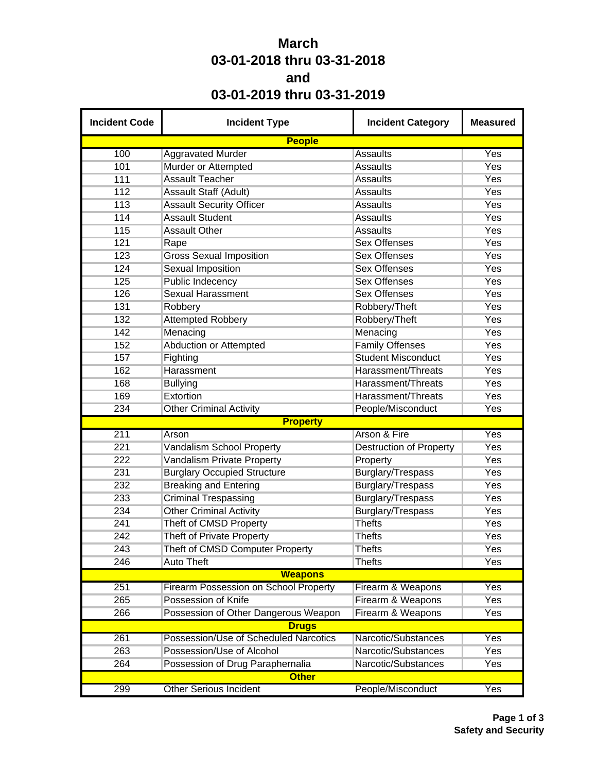## **March 03-01-2018 thru 03-31-2018 and 03-01-2019 thru 03-31-2019**

| <b>Incident Code</b> | <b>Incident Type</b>                  | <b>Incident Category</b>       | <b>Measured</b> |
|----------------------|---------------------------------------|--------------------------------|-----------------|
|                      | <b>People</b>                         |                                |                 |
| 100                  | <b>Aggravated Murder</b>              | <b>Assaults</b>                | Yes             |
| 101                  | Murder or Attempted                   | <b>Assaults</b>                | Yes             |
| 111                  | <b>Assault Teacher</b>                | <b>Assaults</b>                | Yes             |
| 112                  | <b>Assault Staff (Adult)</b>          | <b>Assaults</b>                | Yes             |
| 113                  | <b>Assault Security Officer</b>       | <b>Assaults</b>                | Yes             |
| 114                  | <b>Assault Student</b>                | <b>Assaults</b>                | Yes             |
| 115                  | <b>Assault Other</b>                  | <b>Assaults</b>                | Yes             |
| 121                  | Rape                                  | <b>Sex Offenses</b>            | Yes             |
| 123                  | <b>Gross Sexual Imposition</b>        | <b>Sex Offenses</b>            | Yes             |
| 124                  | <b>Sexual Imposition</b>              | <b>Sex Offenses</b>            | Yes             |
| 125                  | <b>Public Indecency</b>               | <b>Sex Offenses</b>            | Yes             |
| 126                  | <b>Sexual Harassment</b>              | <b>Sex Offenses</b>            | Yes             |
| 131                  | Robbery                               | Robbery/Theft                  | Yes             |
| 132                  | <b>Attempted Robbery</b>              | Robbery/Theft                  | Yes             |
| 142                  | Menacing                              | Menacing                       | Yes             |
| 152                  | <b>Abduction or Attempted</b>         | <b>Family Offenses</b>         | Yes             |
| 157                  | Fighting                              | <b>Student Misconduct</b>      | Yes             |
| 162                  | Harassment                            | Harassment/Threats             | Yes             |
| 168                  | <b>Bullying</b>                       | Harassment/Threats             | Yes             |
| 169                  | Extortion                             | Harassment/Threats             | Yes             |
| 234                  | <b>Other Criminal Activity</b>        | People/Misconduct              | Yes             |
|                      | <b>Property</b>                       |                                |                 |
| 211                  | Arson                                 | Arson & Fire                   | Yes             |
| 221                  | Vandalism School Property             | <b>Destruction of Property</b> | Yes             |
| 222                  | Vandalism Private Property            | Property                       | Yes             |
| 231                  | <b>Burglary Occupied Structure</b>    | Burglary/Trespass              | Yes             |
| 232                  | <b>Breaking and Entering</b>          | Burglary/Trespass              | Yes             |
| 233                  | <b>Criminal Trespassing</b>           | Burglary/Trespass              | Yes             |
| 234                  | <b>Other Criminal Activity</b>        | Burglary/Trespass              | Yes             |
| 241                  | Theft of CMSD Property                | <b>Thefts</b>                  | Yes             |
| 242                  | <b>Theft of Private Property</b>      | <b>Thefts</b>                  | Yes             |
| 243                  | Theft of CMSD Computer Property       | <b>Thefts</b>                  | Yes             |
| 246                  | <b>Auto Theft</b>                     | <b>Thefts</b>                  | Yes             |
|                      | <b>Weapons</b>                        |                                |                 |
| 251                  | Firearm Possession on School Property | Firearm & Weapons              | Yes             |
| 265                  | Possession of Knife                   | Firearm & Weapons              | Yes             |
| 266                  | Possession of Other Dangerous Weapon  | Firearm & Weapons              | Yes             |
|                      | <b>Drugs</b>                          |                                |                 |
| 261                  | Possession/Use of Scheduled Narcotics | Narcotic/Substances            | Yes             |
| 263                  | Possession/Use of Alcohol             | Narcotic/Substances            | Yes             |
| 264                  | Possession of Drug Paraphernalia      | Narcotic/Substances            | Yes             |
|                      | <b>Other</b>                          |                                |                 |
| 299                  | <b>Other Serious Incident</b>         | People/Misconduct              | Yes             |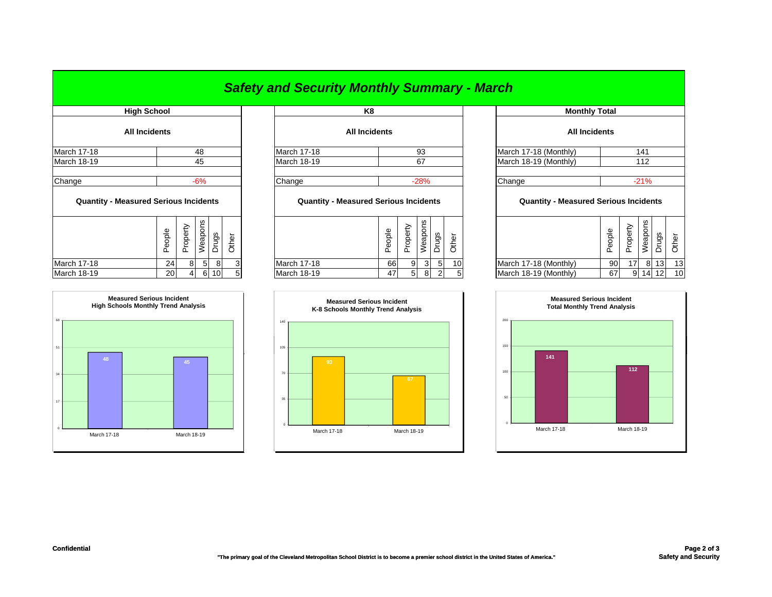## *Safety and Security Monthly Summary - March*

|                                              | <b>High School</b>   |                |                |                 |       | K <sub>8</sub>                               |        |                |         |                |                |         |
|----------------------------------------------|----------------------|----------------|----------------|-----------------|-------|----------------------------------------------|--------|----------------|---------|----------------|----------------|---------|
|                                              | <b>All Incidents</b> |                |                |                 |       | <b>All Incidents</b>                         |        |                |         |                |                |         |
| <b>March 17-18</b>                           |                      |                | 48             |                 |       | <b>March 17-18</b>                           |        |                | 93      |                |                | March 1 |
| March 18-19                                  |                      |                | 45             |                 |       | <b>March 18-19</b>                           |        |                | 67      |                |                | March 1 |
| Change                                       |                      |                | $-6%$          |                 |       | Change                                       |        |                | $-28%$  |                |                | Change  |
| <b>Quantity - Measured Serious Incidents</b> |                      |                |                |                 |       | <b>Quantity - Measured Serious Incidents</b> |        |                |         |                |                | Q       |
|                                              | People               | Property       | Weapons        | Drugs           | Other |                                              | People | Property       | Weapons | Drugs          | Other          |         |
| <b>March 17-18</b>                           | 24                   | 8 <sup>1</sup> | 5 <sub>l</sub> | 8               |       | <b>March 17-18</b>                           | 66     | 9              | 3       | 5              | 10             | March 1 |
| March 18-19                                  | 20                   | $\overline{4}$ | 6              | 10 <sup>1</sup> | 5     | <b>March 18-19</b>                           | 47     | 5 <sup>1</sup> | 8       | $\overline{2}$ | 5 <sub>1</sub> | March 1 |



| High School          |        |             | K8                   | <b>Monthly Total</b>  |                      |  |  |
|----------------------|--------|-------------|----------------------|-----------------------|----------------------|--|--|
| <b>All Incidents</b> |        |             | <b>All Incidents</b> |                       | <b>All Incidents</b> |  |  |
| March 17-18          | 48     | March 17-18 | 93                   | March 17-18 (Monthly) |                      |  |  |
| March 18-19          | 45     | March 18-19 | 67                   | March 18-19 (Monthly) |                      |  |  |
|                      |        |             |                      |                       |                      |  |  |
| Change               | $-60/$ | lChange.    | $-2804$              | Chana                 |                      |  |  |

## **Quantity - Measured Serious Incidents Quantity - Measured Serious Incidents Quantity - Measured Serious Incidents**

| ဖာ<br>က<br>ၯ<br>-<br>Φ<br>eople<br>Φ<br>Φ<br>Φ<br>შ<br>န္ထ<br>ᅙ<br>ᠷ<br><u>_</u><br>∽<br>Φ<br>ත<br>Ф<br>௨<br>∸<br>Ф<br>G)<br>ပ<br>ሰነ<br>മ<br>௳<br>௨<br>ட<br>ட<br>ட<br>-<br>ᄔ | ვ  |    |
|------------------------------------------------------------------------------------------------------------------------------------------------------------------------------|----|----|
| March 17-18 (Monthly)<br>90<br>March 17-18<br>March 17-18<br>10 <sup>1</sup><br>66<br>24<br>3.<br>8<br>$\sim$<br>17<br>8<br>81<br>91<br>51                                   | 13 | 13 |
| <b>March 18-19</b><br>March 18-19 (Monthly)<br>March 18-19<br>6 10<br>67<br><b>20</b><br>47<br>14<br>91<br>8<br>-5.<br>G.<br>b.                                              | 12 | 10 |



|                           |                                       | K8                                           |        |          |         |       |       |  | <b>Monthly Total</b>                         |        |                 |         |                 |       |  |
|---------------------------|---------------------------------------|----------------------------------------------|--------|----------|---------|-------|-------|--|----------------------------------------------|--------|-----------------|---------|-----------------|-------|--|
|                           | <b>All Incidents</b>                  |                                              |        |          |         |       |       |  | <b>All Incidents</b>                         |        |                 |         |                 |       |  |
| 48                        |                                       | March 17-18                                  |        |          | 93      |       |       |  | March 17-18 (Monthly)                        |        |                 | 141     |                 |       |  |
| 45                        | March 18-19<br>67<br>Change<br>$-28%$ |                                              |        |          |         |       |       |  | March 18-19 (Monthly)                        |        |                 | 112     |                 |       |  |
|                           |                                       |                                              |        |          |         |       |       |  |                                              |        |                 |         |                 |       |  |
| $-6%$                     |                                       |                                              |        |          |         |       |       |  | Change                                       |        |                 | $-21%$  |                 |       |  |
| cidents                   |                                       | <b>Quantity - Measured Serious Incidents</b> |        |          |         |       |       |  | <b>Quantity - Measured Serious Incidents</b> |        |                 |         |                 |       |  |
| Weapons<br>Drugs<br>Other |                                       |                                              | People | Property | Weapons | Drugs | Other |  |                                              | People | Property        | Weapons | <b>Drugs</b>    | Other |  |
| 5<br>8<br>3               |                                       | <b>March 17-18</b>                           | 66     | 9        | 3       | 5     | 10    |  | March 17-18 (Monthly)                        | 90     | 17 <sup>1</sup> | 8       | 13 <sub>l</sub> | 13    |  |
| 5<br>6<br>10 <sup>1</sup> |                                       | <b>March 18-19</b>                           | 47     | 5        | 8       | 2     | 5     |  | March 18-19 (Monthly)                        | 67     | 9               | 14      | 12 <sup>1</sup> | 10    |  |